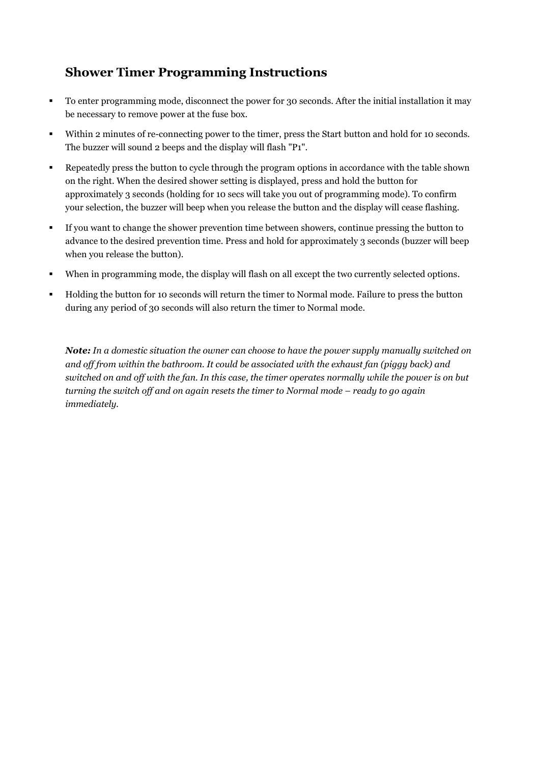## **Shower Timer Programming Instructions**

- To enter programming mode, disconnect the power for 30 seconds. After the initial installation it may be necessary to remove power at the fuse box.
- Within 2 minutes of re-connecting power to the timer, press the Start button and hold for 10 seconds. The buzzer will sound 2 beeps and the display will flash "P1".
- Repeatedly press the button to cycle through the program options in accordance with the table shown on the right. When the desired shower setting is displayed, press and hold the button for approximately 3 seconds (holding for 10 secs will take you out of programming mode). To confirm your selection, the buzzer will beep when you release the button and the display will cease flashing.
- If you want to change the shower prevention time between showers, continue pressing the button to advance to the desired prevention time. Press and hold for approximately 3 seconds (buzzer will beep when you release the button).
- When in programming mode, the display will flash on all except the two currently selected options.
- Holding the button for 10 seconds will return the timer to Normal mode. Failure to press the button during any period of 30 seconds will also return the timer to Normal mode.

*Note: In a domestic situation the owner can choose to have the power supply manually switched on and off from within the bathroom. It could be associated with the exhaust fan (piggy back) and* switched on and off with the fan. In this case, the timer operates normally while the power is on but *turning the switch off and on again resets the timer to Normal mode – ready to go again immediately.*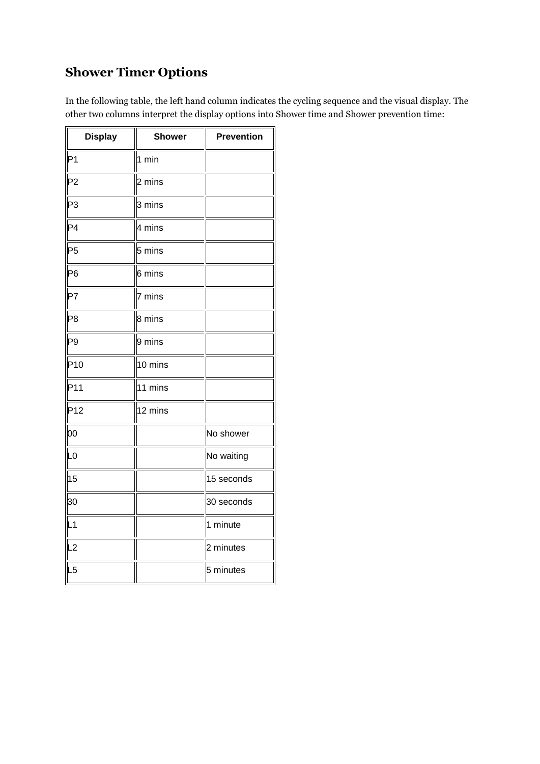# **Shower Timer Options**

In the following table, the left hand column indicates the cycling sequence and the visual display. The other two columns interpret the display options into Shower time and Shower prevention time:

| <b>Display</b>  | <b>Shower</b> | <b>Prevention</b> |
|-----------------|---------------|-------------------|
| P <sub>1</sub>  | 1 min         |                   |
| P <sub>2</sub>  | 2 mins        |                   |
| P3              | 3 mins        |                   |
| P <sub>4</sub>  | 4 mins        |                   |
| P <sub>5</sub>  | 5 mins        |                   |
| P <sub>6</sub>  | 6 mins        |                   |
| P7              | 7 mins        |                   |
| P <sub>8</sub>  | 8 mins        |                   |
| P <sub>9</sub>  | 9 mins        |                   |
| P <sub>10</sub> | 10 mins       |                   |
| P11             | 11 mins       |                   |
| P <sub>12</sub> | 12 mins       |                   |
| 00              |               | No shower         |
| L <sub>0</sub>  |               | No waiting        |
| 15              |               | 15 seconds        |
| 30              |               | 30 seconds        |
| L1              |               | 1 minute          |
| L2              |               | 2 minutes         |
| L <sub>5</sub>  |               | 5 minutes         |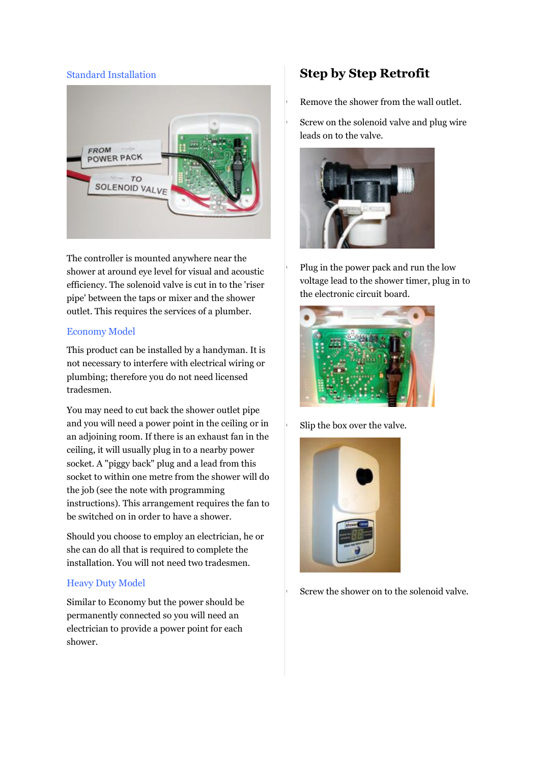#### Standard Installation



The controller is mounted anywhere near the shower at around eye level for visual and acoustic efficiency. The solenoid valve is cut in to the 'riser pipe' between the taps or mixer and the shower outlet. This requires the services of a plumber.

#### Economy Model

This product can be installed by a handyman. It is not necessary to interfere with electrical wiring or plumbing; therefore you do not need licensed tradesmen.

You may need to cut back the shower outlet pipe and you will need a power point in the ceiling or in an adjoining room. If there is an exhaust fan in the ceiling, it will usually plug in to a nearby power socket. A "piggy back" plug and a lead from this socket to within one metre from the shower will do the job (see the note with programming instructions). This arrangement requires the fan to be switched on in order to have a shower.

Should you choose to employ an electrician, he or she can do all that is required to complete the installation. You will not need two tradesmen.

#### Heavy Duty Model

Similar to Economy but the power should be permanently connected so you will need an electrician to provide a power point for each shower.

### **Step by Step Retrofit**

Remove the shower from the wall outlet.

 Screw on the solenoid valve and plug wire leads on to the valve.



 Plug in the power pack and run the low voltage lead to the shower timer, plug in to the electronic circuit board.



Slip the box over the valve.



Screw the shower on to the solenoid valve.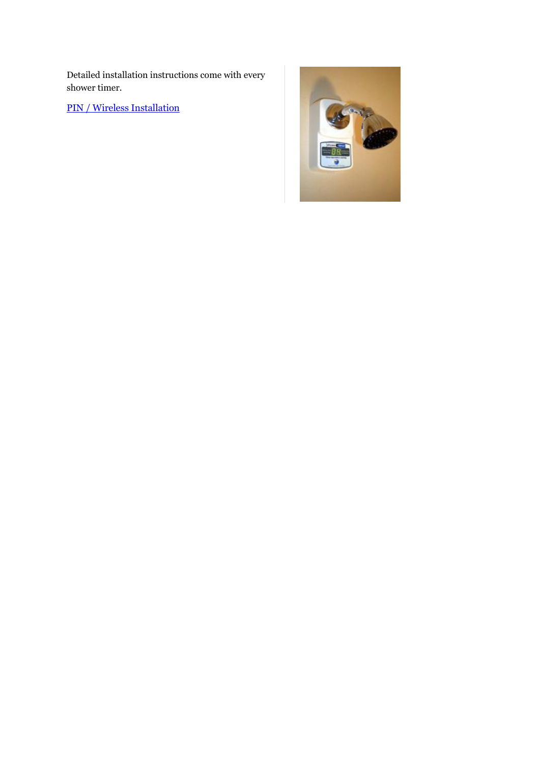Detailed installation instructions come with every shower timer.

PIN / Wireless [Installation](http://www.showertimer.com.au/pin-model.html)

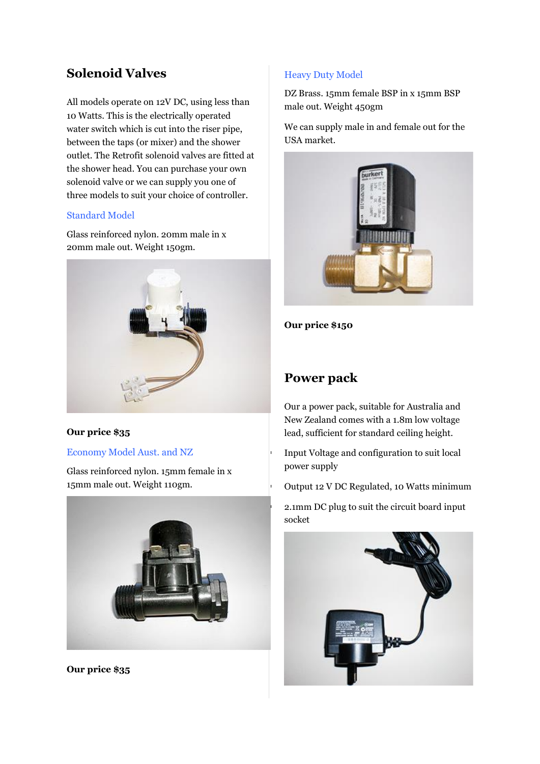## **Solenoid Valves**

All models operate on 12V DC, using less than 10 Watts. This is the electrically operated water switch which is cut into the riser pipe, between the taps (or mixer) and the shower outlet. The Retrofit solenoid valves are fitted at the shower head. You can purchase your own solenoid valve or we can supply you one of three models to suit your choice of controller.

#### Standard Model

Glass reinforced nylon. 20mm male in x 20mm male out. Weight 150gm.



#### **Our price \$35**

#### Economy Model Aust. and NZ

Glass reinforced nylon. 15mm female in x 15mm male out. Weight 110gm.



**Our price \$35**

#### Heavy Duty Model

DZ Brass. 15mm female BSP in x 15mm BSP male out. Weight 450gm

We can supply male in and female out for the USA market.



**Our price \$150**

### **Power pack**

Our a power pack, suitable for Australia and New Zealand comes with a 1.8m low voltage lead, sufficient for standard ceiling height.

 Input Voltage and configuration to suit local power supply

Output 12 V DC Regulated, 10 Watts minimum

 2.1mm DC plug to suit the circuit board input socket